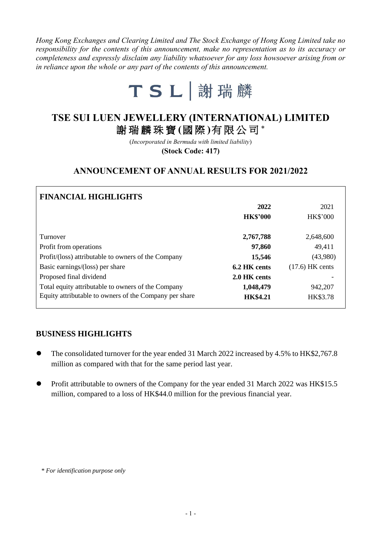*Hong Kong Exchanges and Clearing Limited and The Stock Exchange of Hong Kong Limited take no responsibility for the contents of this announcement, make no representation as to its accuracy or completeness and expressly disclaim any liability whatsoever for any loss howsoever arising from or in reliance upon the whole or any part of the contents of this announcement.*



# **TSE SUI LUEN JEWELLERY (INTERNATIONAL) LIMITED** 謝瑞麟珠寶 **(**國 際 **)**有限公司 \*

(*Incorporated in Bermuda with limited liability*)

**(Stock Code: 417)**

# **ANNOUNCEMENT OF ANNUAL RESULTS FOR 2021/2022**

| <b>FINANCIAL HIGHLIGHTS</b>                            |                 |                   |
|--------------------------------------------------------|-----------------|-------------------|
|                                                        | 2022            | 2021              |
|                                                        | <b>HK\$'000</b> | <b>HK\$'000</b>   |
| Turnover                                               | 2,767,788       | 2,648,600         |
| Profit from operations                                 | 97,860          | 49,411            |
| Profit/(loss) attributable to owners of the Company    | 15,546          | (43,980)          |
| Basic earnings/(loss) per share                        | 6.2 HK cents    | $(17.6)$ HK cents |
| Proposed final dividend                                | 2.0 HK cents    |                   |
| Total equity attributable to owners of the Company     | 1,048,479       | 942,207           |
| Equity attributable to owners of the Company per share | <b>HK\$4.21</b> | HK\$3.78          |

### **BUSINESS HIGHLIGHTS**

- The consolidated turnover for the year ended 31 March 2022 increased by 4.5% to HK\$2,767.8 million as compared with that for the same period last year.
- Profit attributable to owners of the Company for the year ended 31 March 2022 was HK\$15.5 million, compared to a loss of HK\$44.0 million for the previous financial year.

*<sup>\*</sup> For identification purpose only*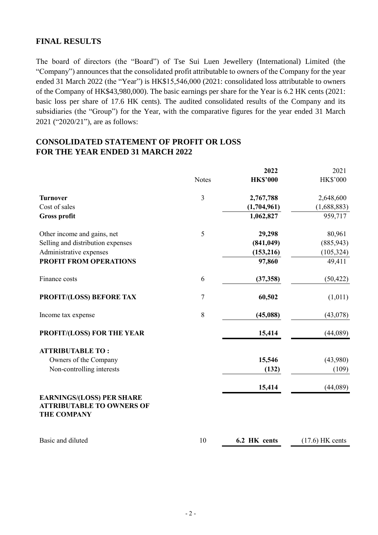### **FINAL RESULTS**

The board of directors (the "Board") of Tse Sui Luen Jewellery (International) Limited (the "Company") announces that the consolidated profit attributable to owners of the Company for the year ended 31 March 2022 (the "Year") is HK\$15,546,000 (2021: consolidated loss attributable to owners of the Company of HK\$43,980,000). The basic earnings per share for the Year is 6.2 HK cents (2021: basic loss per share of 17.6 HK cents). The audited consolidated results of the Company and its subsidiaries (the "Group") for the Year, with the comparative figures for the year ended 31 March 2021 ("2020/21"), are as follows:

## **CONSOLIDATED STATEMENT OF PROFIT OR LOSS FOR THE YEAR ENDED 31 MARCH 2022**

|                                                                                            |                | 2022            | 2021              |
|--------------------------------------------------------------------------------------------|----------------|-----------------|-------------------|
|                                                                                            | <b>Notes</b>   | <b>HK\$'000</b> | HK\$'000          |
| <b>Turnover</b>                                                                            | $\mathfrak{Z}$ | 2,767,788       | 2,648,600         |
| Cost of sales                                                                              |                | (1,704,961)     | (1,688,883)       |
| <b>Gross profit</b>                                                                        |                | 1,062,827       | 959,717           |
| Other income and gains, net                                                                | 5              | 29,298          | 80,961            |
| Selling and distribution expenses                                                          |                | (841, 049)      | (885, 943)        |
| Administrative expenses                                                                    |                | (153, 216)      | (105, 324)        |
| PROFIT FROM OPERATIONS                                                                     |                | 97,860          | 49,411            |
| Finance costs                                                                              | 6              | (37, 358)       | (50, 422)         |
| PROFIT/(LOSS) BEFORE TAX                                                                   | $\overline{7}$ | 60,502          | (1,011)           |
| Income tax expense                                                                         | 8              | (45,088)        | (43,078)          |
| PROFIT/(LOSS) FOR THE YEAR                                                                 |                | 15,414          | (44,089)          |
| <b>ATTRIBUTABLE TO:</b>                                                                    |                |                 |                   |
| Owners of the Company                                                                      |                | 15,546          | (43,980)          |
| Non-controlling interests                                                                  |                | (132)           | (109)             |
|                                                                                            |                | 15,414          | (44,089)          |
| <b>EARNINGS/(LOSS) PER SHARE</b><br><b>ATTRIBUTABLE TO OWNERS OF</b><br><b>THE COMPANY</b> |                |                 |                   |
| Basic and diluted                                                                          | 10             | 6.2 HK cents    | $(17.6)$ HK cents |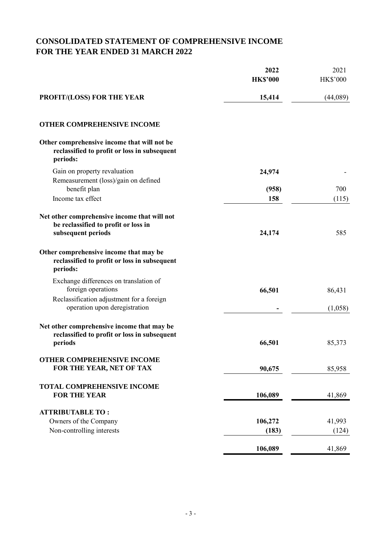# **CONSOLIDATED STATEMENT OF COMPREHENSIVE INCOME FOR THE YEAR ENDED 31 MARCH 2022**

|                                                                                                            | 2022<br><b>HK\$'000</b> | 2021<br><b>HK\$'000</b> |
|------------------------------------------------------------------------------------------------------------|-------------------------|-------------------------|
| <b>PROFIT/(LOSS) FOR THE YEAR</b>                                                                          | 15,414                  | (44,089)                |
| <b>OTHER COMPREHENSIVE INCOME</b>                                                                          |                         |                         |
| Other comprehensive income that will not be<br>reclassified to profit or loss in subsequent<br>periods:    |                         |                         |
| Gain on property revaluation                                                                               | 24,974                  |                         |
| Remeasurement (loss)/gain on defined<br>benefit plan                                                       | (958)                   | 700                     |
| Income tax effect                                                                                          | 158                     | (115)                   |
| Net other comprehensive income that will not<br>be reclassified to profit or loss in<br>subsequent periods | 24,174                  | 585                     |
| Other comprehensive income that may be<br>reclassified to profit or loss in subsequent<br>periods:         |                         |                         |
| Exchange differences on translation of<br>foreign operations                                               | 66,501                  | 86,431                  |
| Reclassification adjustment for a foreign<br>operation upon deregistration                                 |                         | (1,058)                 |
| Net other comprehensive income that may be<br>reclassified to profit or loss in subsequent<br>periods      | 66,501                  | 85,373                  |
| OTHER COMPREHENSIVE INCOME<br>FOR THE YEAR, NET OF TAX                                                     | 90,675                  | 85,958                  |
| <b>TOTAL COMPREHENSIVE INCOME</b><br><b>FOR THE YEAR</b>                                                   | 106,089                 | 41,869                  |
| <b>ATTRIBUTABLE TO:</b>                                                                                    |                         |                         |
| Owners of the Company                                                                                      | 106,272                 | 41,993                  |
| Non-controlling interests                                                                                  | (183)                   | (124)                   |
|                                                                                                            | 106,089                 | 41,869                  |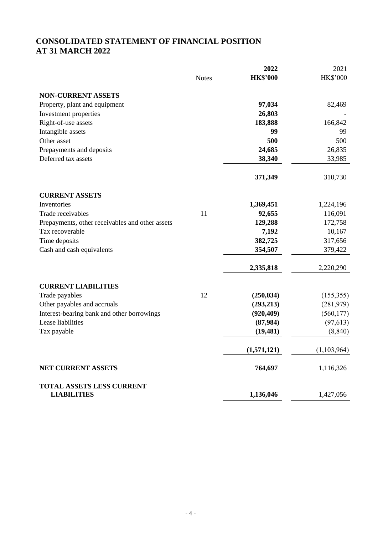# **CONSOLIDATED STATEMENT OF FINANCIAL POSITION AT 31 MARCH 2022**

|                                                        |              | 2022            | 2021            |
|--------------------------------------------------------|--------------|-----------------|-----------------|
|                                                        | <b>Notes</b> | <b>HK\$'000</b> | <b>HK\$'000</b> |
| <b>NON-CURRENT ASSETS</b>                              |              |                 |                 |
| Property, plant and equipment                          |              | 97,034          | 82,469          |
| Investment properties                                  |              | 26,803          |                 |
| Right-of-use assets                                    |              | 183,888         | 166,842         |
| Intangible assets                                      |              | 99              | 99              |
| Other asset                                            |              | 500             | 500             |
| Prepayments and deposits                               |              | 24,685          | 26,835          |
| Deferred tax assets                                    |              | 38,340          | 33,985          |
|                                                        |              | 371,349         | 310,730         |
| <b>CURRENT ASSETS</b>                                  |              |                 |                 |
| Inventories                                            |              | 1,369,451       | 1,224,196       |
| Trade receivables                                      | 11           | 92,655          | 116,091         |
| Prepayments, other receivables and other assets        |              | 129,288         | 172,758         |
| Tax recoverable                                        |              | 7,192           | 10,167          |
| Time deposits                                          |              | 382,725         | 317,656         |
| Cash and cash equivalents                              |              | 354,507         | 379,422         |
|                                                        |              | 2,335,818       | 2,220,290       |
| <b>CURRENT LIABILITIES</b>                             |              |                 |                 |
| Trade payables                                         | 12           | (250, 034)      | (155,355)       |
| Other payables and accruals                            |              | (293, 213)      | (281, 979)      |
| Interest-bearing bank and other borrowings             |              | (920, 409)      | (560, 177)      |
| Lease liabilities                                      |              | (87,984)        | (97, 613)       |
| Tax payable                                            |              | (19, 481)       | (8, 840)        |
|                                                        |              | (1,571,121)     | (1, 103, 964)   |
| NET CURRENT ASSETS                                     |              | 764,697         | 1,116,326       |
| <b>TOTAL ASSETS LESS CURRENT</b><br><b>LIABILITIES</b> |              | 1,136,046       | 1,427,056       |
|                                                        |              |                 |                 |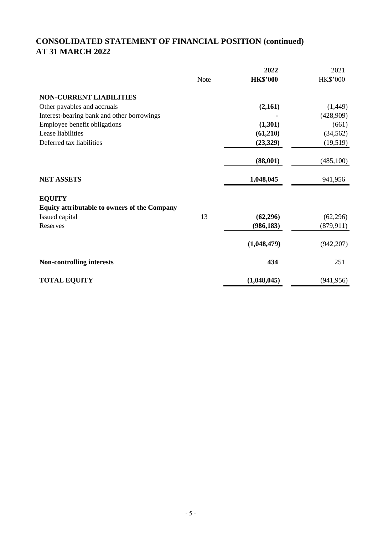# **CONSOLIDATED STATEMENT OF FINANCIAL POSITION (continued) AT 31 MARCH 2022**

|                                                     |             | 2022            | 2021            |
|-----------------------------------------------------|-------------|-----------------|-----------------|
|                                                     | <b>Note</b> | <b>HK\$'000</b> | <b>HK\$'000</b> |
| <b>NON-CURRENT LIABILITIES</b>                      |             |                 |                 |
| Other payables and accruals                         |             | (2,161)         | (1,449)         |
| Interest-bearing bank and other borrowings          |             |                 | (428,909)       |
| Employee benefit obligations                        |             | (1,301)         | (661)           |
| Lease liabilities                                   |             | (61,210)        | (34, 562)       |
| Deferred tax liabilities                            |             | (23,329)        | (19,519)        |
|                                                     |             | (88,001)        | (485,100)       |
| <b>NET ASSETS</b>                                   |             | 1,048,045       | 941,956         |
| <b>EQUITY</b>                                       |             |                 |                 |
| <b>Equity attributable to owners of the Company</b> |             |                 |                 |
| Issued capital                                      | 13          | (62, 296)       | (62, 296)       |
| Reserves                                            |             | (986, 183)      | (879, 911)      |
|                                                     |             | (1,048,479)     | (942, 207)      |
| <b>Non-controlling interests</b>                    |             | 434             | 251             |
| <b>TOTAL EQUITY</b>                                 |             | (1,048,045)     | (941, 956)      |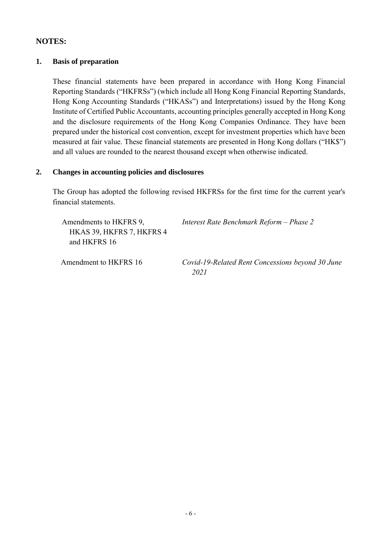### **NOTES:**

### **1. Basis of preparation**

These financial statements have been prepared in accordance with Hong Kong Financial Reporting Standards ("HKFRSs") (which include all Hong Kong Financial Reporting Standards, Hong Kong Accounting Standards ("HKASs") and Interpretations) issued by the Hong Kong Institute of Certified Public Accountants, accounting principles generally accepted in Hong Kong and the disclosure requirements of the Hong Kong Companies Ordinance. They have been prepared under the historical cost convention, except for investment properties which have been measured at fair value. These financial statements are presented in Hong Kong dollars ("HK\$") and all values are rounded to the nearest thousand except when otherwise indicated.

#### **2. Changes in accounting policies and disclosures**

The Group has adopted the following revised HKFRSs for the first time for the current year's financial statements.

Amendments to HKFRS 9, HKAS 39, HKFRS 7, HKFRS 4 and HKFRS 16 *Interest Rate Benchmark Reform – Phase 2* Amendment to HKFRS 16 *Covid-19-Related Rent Concessions beyond 30 June 2021*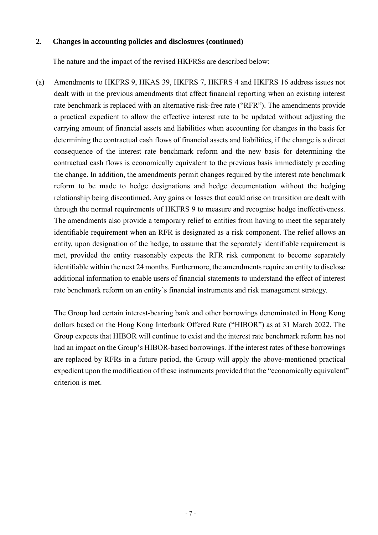#### **2. Changes in accounting policies and disclosures (continued)**

The nature and the impact of the revised HKFRSs are described below:

(a) Amendments to HKFRS 9, HKAS 39, HKFRS 7, HKFRS 4 and HKFRS 16 address issues not dealt with in the previous amendments that affect financial reporting when an existing interest rate benchmark is replaced with an alternative risk-free rate ("RFR"). The amendments provide a practical expedient to allow the effective interest rate to be updated without adjusting the carrying amount of financial assets and liabilities when accounting for changes in the basis for determining the contractual cash flows of financial assets and liabilities, if the change is a direct consequence of the interest rate benchmark reform and the new basis for determining the contractual cash flows is economically equivalent to the previous basis immediately preceding the change. In addition, the amendments permit changes required by the interest rate benchmark reform to be made to hedge designations and hedge documentation without the hedging relationship being discontinued. Any gains or losses that could arise on transition are dealt with through the normal requirements of HKFRS 9 to measure and recognise hedge ineffectiveness. The amendments also provide a temporary relief to entities from having to meet the separately identifiable requirement when an RFR is designated as a risk component. The relief allows an entity, upon designation of the hedge, to assume that the separately identifiable requirement is met, provided the entity reasonably expects the RFR risk component to become separately identifiable within the next 24 months. Furthermore, the amendments require an entity to disclose additional information to enable users of financial statements to understand the effect of interest rate benchmark reform on an entity's financial instruments and risk management strategy.

The Group had certain interest-bearing bank and other borrowings denominated in Hong Kong dollars based on the Hong Kong Interbank Offered Rate ("HIBOR") as at 31 March 2022. The Group expects that HIBOR will continue to exist and the interest rate benchmark reform has not had an impact on the Group's HIBOR-based borrowings. If the interest rates of these borrowings are replaced by RFRs in a future period, the Group will apply the above-mentioned practical expedient upon the modification of these instruments provided that the "economically equivalent" criterion is met.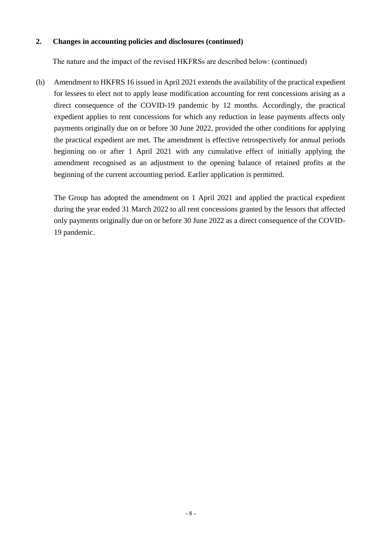#### **2. Changes in accounting policies and disclosures (continued)**

The nature and the impact of the revised HKFRSs are described below: (continued)

(b) Amendment to HKFRS 16 issued in April 2021 extends the availability of the practical expedient for lessees to elect not to apply lease modification accounting for rent concessions arising as a direct consequence of the COVID-19 pandemic by 12 months. Accordingly, the practical expedient applies to rent concessions for which any reduction in lease payments affects only payments originally due on or before 30 June 2022, provided the other conditions for applying the practical expedient are met. The amendment is effective retrospectively for annual periods beginning on or after 1 April 2021 with any cumulative effect of initially applying the amendment recognised as an adjustment to the opening balance of retained profits at the beginning of the current accounting period. Earlier application is permitted.

The Group has adopted the amendment on 1 April 2021 and applied the practical expedient during the year ended 31 March 2022 to all rent concessions granted by the lessors that affected only payments originally due on or before 30 June 2022 as a direct consequence of the COVID-19 pandemic.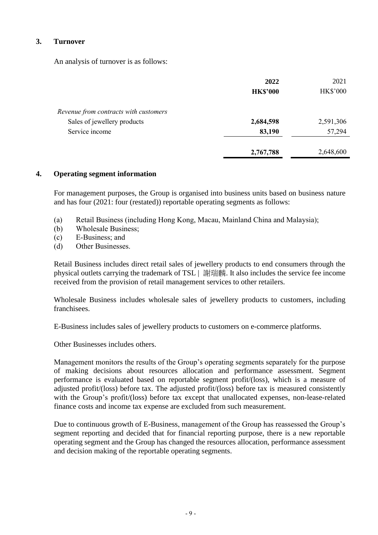### **3. Turnover**

An analysis of turnover is as follows:

|                                       | 2022            | 2021            |
|---------------------------------------|-----------------|-----------------|
|                                       | <b>HK\$'000</b> | <b>HK\$'000</b> |
| Revenue from contracts with customers |                 |                 |
| Sales of jewellery products           | 2,684,598       | 2,591,306       |
| Service income                        | 83,190          | 57,294          |
|                                       | 2,767,788       | 2,648,600       |

#### **4. Operating segment information**

For management purposes, the Group is organised into business units based on business nature and has four (2021: four (restated)) reportable operating segments as follows:

- (a) Retail Business (including Hong Kong, Macau, Mainland China and Malaysia);
- (b) Wholesale Business;
- (c) E-Business; and
- (d) Other Businesses.

Retail Business includes direct retail sales of jewellery products to end consumers through the physical outlets carrying the trademark of TSL | 謝瑞麟. It also includes the service fee income received from the provision of retail management services to other retailers.

Wholesale Business includes wholesale sales of jewellery products to customers, including franchisees.

E-Business includes sales of jewellery products to customers on e-commerce platforms.

Other Businesses includes others.

Management monitors the results of the Group's operating segments separately for the purpose of making decisions about resources allocation and performance assessment. Segment performance is evaluated based on reportable segment profit/(loss), which is a measure of adjusted profit/(loss) before tax. The adjusted profit/(loss) before tax is measured consistently with the Group's profit/(loss) before tax except that unallocated expenses, non-lease-related finance costs and income tax expense are excluded from such measurement.

Due to continuous growth of E-Business, management of the Group has reassessed the Group's segment reporting and decided that for financial reporting purpose, there is a new reportable operating segment and the Group has changed the resources allocation, performance assessment and decision making of the reportable operating segments.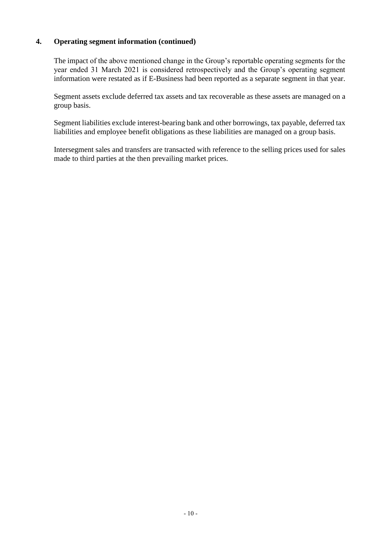The impact of the above mentioned change in the Group's reportable operating segments for the year ended 31 March 2021 is considered retrospectively and the Group's operating segment information were restated as if E-Business had been reported as a separate segment in that year.

Segment assets exclude deferred tax assets and tax recoverable as these assets are managed on a group basis.

Segment liabilities exclude interest-bearing bank and other borrowings, tax payable, deferred tax liabilities and employee benefit obligations as these liabilities are managed on a group basis.

Intersegment sales and transfers are transacted with reference to the selling prices used for sales made to third parties at the then prevailing market prices.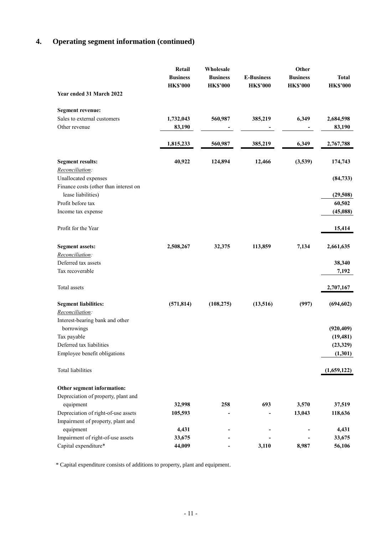|                                              | Retail<br><b>Business</b><br><b>HK\$'000</b> | Wholesale<br><b>Business</b><br><b>HK\$'000</b> | <b>E-Business</b><br><b>HK\$'000</b> | Other<br><b>Business</b><br><b>HK\$'000</b> | <b>Total</b><br><b>HK\$'000</b> |
|----------------------------------------------|----------------------------------------------|-------------------------------------------------|--------------------------------------|---------------------------------------------|---------------------------------|
| Year ended 31 March 2022                     |                                              |                                                 |                                      |                                             |                                 |
| <b>Segment revenue:</b>                      |                                              |                                                 |                                      |                                             |                                 |
| Sales to external customers<br>Other revenue | 1,732,043<br>83,190                          | 560,987                                         | 385,219                              | 6,349                                       | 2,684,598<br>83,190             |
|                                              |                                              |                                                 |                                      |                                             |                                 |
|                                              | 1,815,233                                    | 560,987                                         | 385,219                              | 6,349                                       | 2,767,788                       |
| <b>Segment results:</b>                      | 40,922                                       | 124,894                                         | 12,466                               | (3,539)                                     | 174,743                         |
| Reconciliation:                              |                                              |                                                 |                                      |                                             |                                 |
| Unallocated expenses                         |                                              |                                                 |                                      |                                             | (84, 733)                       |
| Finance costs (other than interest on        |                                              |                                                 |                                      |                                             |                                 |
| lease liabilities)                           |                                              |                                                 |                                      |                                             | (29,508)                        |
| Profit before tax                            |                                              |                                                 |                                      |                                             | 60,502                          |
| Income tax expense                           |                                              |                                                 |                                      |                                             | (45,088)                        |
| Profit for the Year                          |                                              |                                                 |                                      |                                             | 15,414                          |
| <b>Segment assets:</b>                       | 2,508,267                                    | 32,375                                          | 113,859                              | 7,134                                       | 2,661,635                       |
| Reconciliation:                              |                                              |                                                 |                                      |                                             |                                 |
| Deferred tax assets                          |                                              |                                                 |                                      |                                             | 38,340                          |
| Tax recoverable                              |                                              |                                                 |                                      |                                             | 7,192                           |
| Total assets                                 |                                              |                                                 |                                      |                                             | 2,707,167                       |
| <b>Segment liabilities:</b>                  | (571, 814)                                   | (108, 275)                                      | (13,516)                             | (997)                                       | (694, 602)                      |
| Reconciliation:                              |                                              |                                                 |                                      |                                             |                                 |
| Interest-bearing bank and other              |                                              |                                                 |                                      |                                             |                                 |
| borrowings                                   |                                              |                                                 |                                      |                                             | (920, 409)                      |
| Tax payable                                  |                                              |                                                 |                                      |                                             | (19, 481)                       |
| Deferred tax liabilities                     |                                              |                                                 |                                      |                                             | (23, 329)                       |
| Employee benefit obligations                 |                                              |                                                 |                                      |                                             | (1,301)                         |
| Total liabilities                            |                                              |                                                 |                                      |                                             | (1,659,122)                     |
| Other segment information:                   |                                              |                                                 |                                      |                                             |                                 |
| Depreciation of property, plant and          |                                              |                                                 |                                      |                                             |                                 |
| equipment                                    | 32,998                                       | 258                                             | 693                                  | 3,570                                       | 37,519                          |
| Depreciation of right-of-use assets          | 105,593                                      |                                                 |                                      | 13,043                                      | 118,636                         |
| Impairment of property, plant and            |                                              |                                                 |                                      |                                             |                                 |
| equipment                                    | 4,431                                        |                                                 |                                      |                                             | 4,431                           |
| Impairment of right-of-use assets            | 33,675                                       |                                                 |                                      |                                             | 33,675                          |
| Capital expenditure*                         | 44,009                                       |                                                 | 3,110                                | 8,987                                       | 56,106                          |

\* Capital expenditure consists of additions to property, plant and equipment.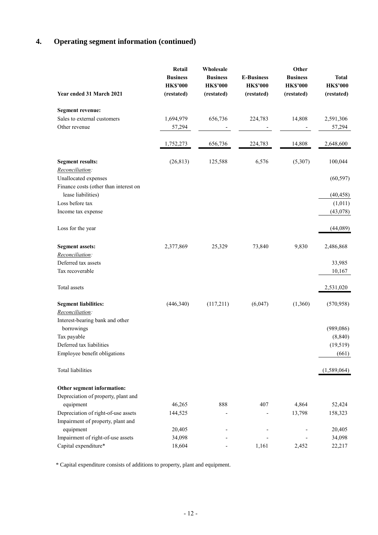|                                                             | Retail                        | Wholesale                     |                               | Other                         |                               |
|-------------------------------------------------------------|-------------------------------|-------------------------------|-------------------------------|-------------------------------|-------------------------------|
|                                                             | <b>Business</b>               | <b>Business</b>               | <b>E-Business</b>             | <b>Business</b>               | <b>Total</b>                  |
| Year ended 31 March 2021                                    | <b>HK\$'000</b><br>(restated) | <b>HK\$'000</b><br>(restated) | <b>HK\$'000</b><br>(restated) | <b>HK\$'000</b><br>(restated) | <b>HK\$'000</b><br>(restated) |
| <b>Segment revenue:</b>                                     |                               |                               |                               |                               |                               |
| Sales to external customers                                 | 1,694,979                     | 656,736                       | 224,783                       | 14,808                        | 2,591,306                     |
| Other revenue                                               | 57,294                        |                               |                               |                               | 57,294                        |
|                                                             | 1,752,273                     | 656,736                       | 224,783                       | 14,808                        | 2,648,600                     |
| <b>Segment results:</b>                                     | (26, 813)                     | 125,588                       | 6,576                         | (5,307)                       | 100,044                       |
| Reconciliation:                                             |                               |                               |                               |                               |                               |
| Unallocated expenses                                        |                               |                               |                               |                               | (60, 597)                     |
| Finance costs (other than interest on<br>lease liabilities) |                               |                               |                               |                               | (40, 458)                     |
| Loss before tax                                             |                               |                               |                               |                               | (1,011)                       |
| Income tax expense                                          |                               |                               |                               |                               | (43,078)                      |
| Loss for the year                                           |                               |                               |                               |                               | (44,089)                      |
| <b>Segment assets:</b>                                      | 2,377,869                     | 25,329                        | 73,840                        | 9,830                         | 2,486,868                     |
| Reconciliation:                                             |                               |                               |                               |                               |                               |
| Deferred tax assets                                         |                               |                               |                               |                               | 33,985                        |
| Tax recoverable                                             |                               |                               |                               |                               | 10,167                        |
| Total assets                                                |                               |                               |                               |                               | 2,531,020                     |
| <b>Segment liabilities:</b>                                 | (446, 340)                    | (117,211)                     | (6,047)                       | (1,360)                       | (570, 958)                    |
| Reconciliation:                                             |                               |                               |                               |                               |                               |
| Interest-bearing bank and other                             |                               |                               |                               |                               |                               |
| borrowings                                                  |                               |                               |                               |                               | (989, 086)                    |
| Tax payable                                                 |                               |                               |                               |                               | (8, 840)                      |
| Deferred tax liabilities                                    |                               |                               |                               |                               | (19, 519)                     |
| Employee benefit obligations                                |                               |                               |                               |                               | (661)                         |
| <b>Total liabilities</b>                                    |                               |                               |                               |                               | (1,589,064)                   |
| Other segment information:                                  |                               |                               |                               |                               |                               |
| Depreciation of property, plant and                         |                               |                               |                               |                               |                               |
| equipment                                                   | 46,265                        | 888                           | 407                           | 4,864                         | 52,424                        |
| Depreciation of right-of-use assets                         | 144,525                       |                               |                               | 13,798                        | 158,323                       |
| Impairment of property, plant and                           |                               |                               |                               |                               |                               |
| equipment                                                   | 20,405                        |                               |                               |                               | 20,405                        |
| Impairment of right-of-use assets                           | 34,098                        |                               |                               |                               | 34,098                        |
| Capital expenditure*                                        | 18,604                        |                               | 1,161                         | 2,452                         | 22,217                        |

\* Capital expenditure consists of additions to property, plant and equipment.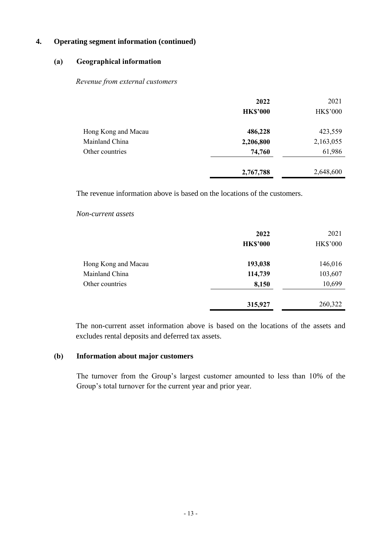### **(a) Geographical information**

#### *Revenue from external customers*

|                     | 2022            | 2021            |
|---------------------|-----------------|-----------------|
|                     | <b>HK\$'000</b> | <b>HK\$'000</b> |
| Hong Kong and Macau | 486,228         | 423,559         |
| Mainland China      | 2,206,800       | 2,163,055       |
| Other countries     | 74,760          | 61,986          |
|                     | 2,767,788       | 2,648,600       |

The revenue information above is based on the locations of the customers.

#### *Non-current assets*

|                     | 2022            | 2021            |
|---------------------|-----------------|-----------------|
|                     | <b>HK\$'000</b> | <b>HK\$'000</b> |
| Hong Kong and Macau | 193,038         | 146,016         |
| Mainland China      | 114,739         | 103,607         |
| Other countries     | 8,150           | 10,699          |
|                     | 315,927         | 260,322         |

The non-current asset information above is based on the locations of the assets and excludes rental deposits and deferred tax assets.

#### **(b) Information about major customers**

The turnover from the Group's largest customer amounted to less than 10% of the Group's total turnover for the current year and prior year.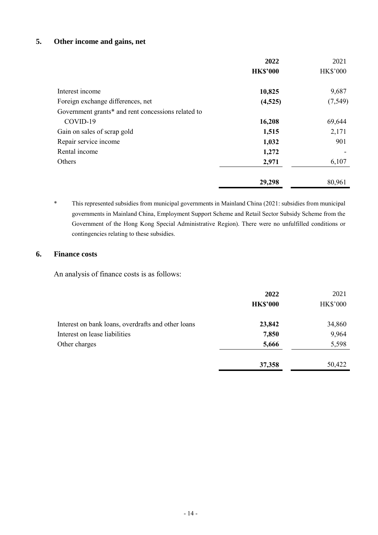### **5. Other income and gains, net**

|                                                    | 2022            | 2021            |
|----------------------------------------------------|-----------------|-----------------|
|                                                    | <b>HK\$'000</b> | <b>HK\$'000</b> |
| Interest income                                    | 10,825          | 9,687           |
| Foreign exchange differences, net                  | (4,525)         | (7, 549)        |
| Government grants* and rent concessions related to |                 |                 |
| COVID-19                                           | 16,208          | 69,644          |
| Gain on sales of scrap gold                        | 1,515           | 2,171           |
| Repair service income                              | 1,032           | 901             |
| Rental income                                      | 1,272           |                 |
| Others                                             | 2,971           | 6,107           |
|                                                    | 29,298          | 80,961          |

\* This represented subsidies from municipal governments in Mainland China (2021: subsidies from municipal governments in Mainland China, Employment Support Scheme and Retail Sector Subsidy Scheme from the Government of the Hong Kong Special Administrative Region). There were no unfulfilled conditions or contingencies relating to these subsidies.

#### **6. Finance costs**

An analysis of finance costs is as follows:

|                                                    | 2022            | 2021            |
|----------------------------------------------------|-----------------|-----------------|
|                                                    | <b>HK\$'000</b> | <b>HK\$'000</b> |
| Interest on bank loans, overdrafts and other loans | 23,842          | 34,860          |
| Interest on lease liabilities                      | 7,850           | 9,964           |
| Other charges                                      | 5,666           | 5,598           |
|                                                    | 37,358          | 50,422          |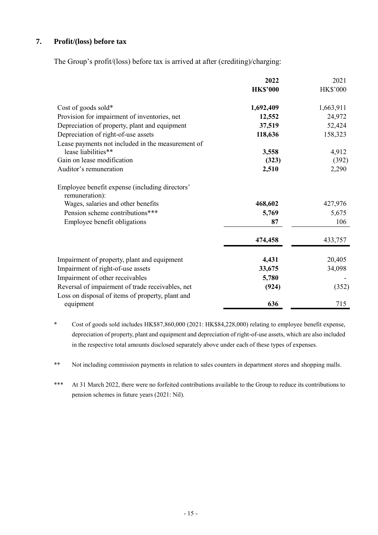### **7. Profit/(loss) before tax**

The Group's profit/(loss) before tax is arrived at after (crediting)/charging:

|                                                                  | 2022<br><b>HK\$'000</b> | 2021<br><b>HK\$'000</b> |
|------------------------------------------------------------------|-------------------------|-------------------------|
| Cost of goods sold*                                              | 1,692,409               | 1,663,911               |
| Provision for impairment of inventories, net                     | 12,552                  | 24,972                  |
| Depreciation of property, plant and equipment                    | 37,519                  | 52,424                  |
| Depreciation of right-of-use assets                              | 118,636                 | 158,323                 |
| Lease payments not included in the measurement of                |                         |                         |
| lease liabilities**                                              | 3,558                   | 4,912                   |
| Gain on lease modification                                       | (323)                   | (392)                   |
| Auditor's remuneration                                           | 2,510                   | 2,290                   |
| Employee benefit expense (including directors'<br>remuneration): |                         |                         |
| Wages, salaries and other benefits                               | 468,602                 | 427,976                 |
| Pension scheme contributions***                                  | 5,769                   | 5,675                   |
| Employee benefit obligations                                     | 87                      | 106                     |
|                                                                  | 474,458                 | 433,757                 |
| Impairment of property, plant and equipment                      | 4,431                   | 20,405                  |
| Impairment of right-of-use assets                                | 33,675                  | 34,098                  |
| Impairment of other receivables                                  | 5,780                   |                         |
| Reversal of impairment of trade receivables, net                 | (924)                   | (352)                   |
| Loss on disposal of items of property, plant and                 |                         |                         |
| equipment                                                        | 636                     | 715                     |

\* Cost of goods sold includes HK\$87,860,000 (2021: HK\$84,228,000) relating to employee benefit expense, depreciation of property, plant and equipment and depreciation of right-of-use assets, which are also included in the respective total amounts disclosed separately above under each of these types of expenses.

\*\* Not including commission payments in relation to sales counters in department stores and shopping malls.

\*\*\* At 31 March 2022, there were no forfeited contributions available to the Group to reduce its contributions to pension schemes in future years (2021: Nil).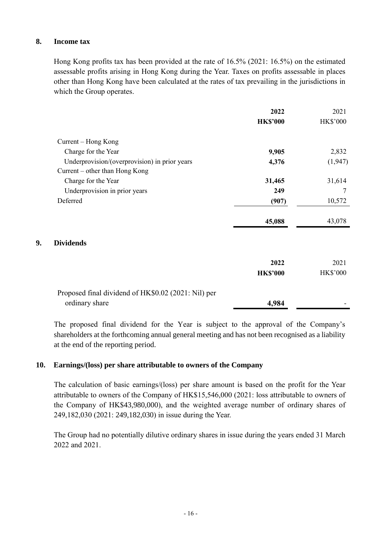### **8. Income tax**

Hong Kong profits tax has been provided at the rate of 16.5% (2021: 16.5%) on the estimated assessable profits arising in Hong Kong during the Year. Taxes on profits assessable in places other than Hong Kong have been calculated at the rates of tax prevailing in the jurisdictions in which the Group operates.

|                                                     | 2022            | 2021            |
|-----------------------------------------------------|-----------------|-----------------|
|                                                     | <b>HK\$'000</b> | <b>HK\$'000</b> |
| Current – Hong Kong                                 |                 |                 |
| Charge for the Year                                 | 9,905           | 2,832           |
| Underprovision/(overprovision) in prior years       | 4,376           | (1,947)         |
| Current – other than Hong Kong                      |                 |                 |
| Charge for the Year                                 | 31,465          | 31,614          |
| Underprovision in prior years                       | 249             | 7               |
| Deferred                                            | (907)           | 10,572          |
|                                                     | 45,088          | 43,078          |
| 9.<br><b>Dividends</b>                              |                 |                 |
|                                                     | 2022            | 2021            |
|                                                     | <b>HK\$'000</b> | HK\$'000        |
| Proposed final dividend of HK\$0.02 (2021: Nil) per |                 |                 |
| ordinary share                                      | 4,984           |                 |

The proposed final dividend for the Year is subject to the approval of the Company's shareholders at the forthcoming annual general meeting and has not been recognised as a liability at the end of the reporting period.

#### **10. Earnings/(loss) per share attributable to owners of the Company**

The calculation of basic earnings/(loss) per share amount is based on the profit for the Year attributable to owners of the Company of HK\$15,546,000 (2021: loss attributable to owners of the Company of HK\$43,980,000), and the weighted average number of ordinary shares of 249,182,030 (2021: 249,182,030) in issue during the Year.

The Group had no potentially dilutive ordinary shares in issue during the years ended 31 March 2022 and 2021.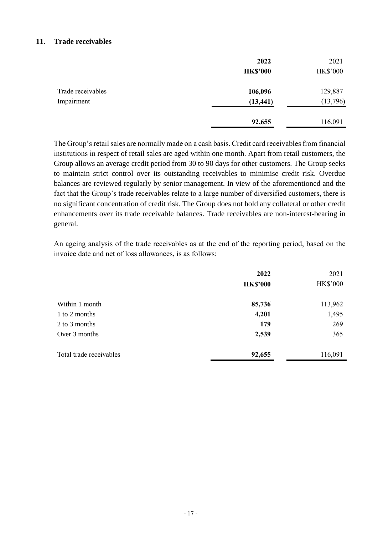#### **11. Trade receivables**

|                   | 2022            | 2021            |
|-------------------|-----------------|-----------------|
|                   | <b>HK\$'000</b> | <b>HK\$'000</b> |
| Trade receivables | 106,096         | 129,887         |
| Impairment        | (13, 441)       | (13,796)        |
|                   | 92,655          | 116,091         |

The Group's retail sales are normally made on a cash basis. Credit card receivables from financial institutions in respect of retail sales are aged within one month. Apart from retail customers, the Group allows an average credit period from 30 to 90 days for other customers. The Group seeks to maintain strict control over its outstanding receivables to minimise credit risk. Overdue balances are reviewed regularly by senior management. In view of the aforementioned and the fact that the Group's trade receivables relate to a large number of diversified customers, there is no significant concentration of credit risk. The Group does not hold any collateral or other credit enhancements over its trade receivable balances. Trade receivables are non-interest-bearing in general.

An ageing analysis of the trade receivables as at the end of the reporting period, based on the invoice date and net of loss allowances, is as follows:

| 2022            | 2021            |
|-----------------|-----------------|
| <b>HK\$'000</b> | <b>HK\$'000</b> |
| 85,736          | 113,962         |
| 4,201           | 1,495           |
| 179             | 269             |
| 2,539           | 365             |
| 92,655          | 116,091         |
|                 |                 |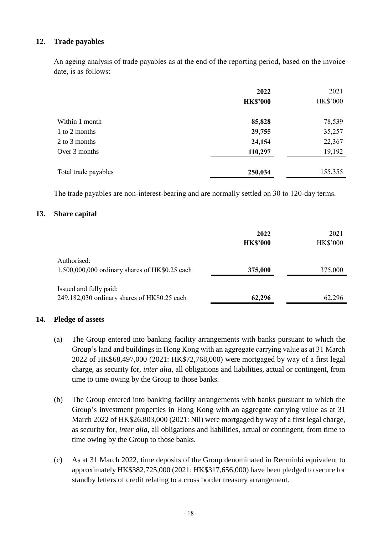### **12. Trade payables**

An ageing analysis of trade payables as at the end of the reporting period, based on the invoice date, is as follows:

|                      | 2022            | 2021     |
|----------------------|-----------------|----------|
|                      | <b>HK\$'000</b> | HK\$'000 |
| Within 1 month       | 85,828          | 78,539   |
| 1 to 2 months        | 29,755          | 35,257   |
| 2 to 3 months        | 24,154          | 22,367   |
| Over 3 months        | 110,297         | 19,192   |
| Total trade payables | 250,034         | 155,355  |

The trade payables are non-interest-bearing and are normally settled on 30 to 120-day terms.

#### **13. Share capital**

|                                                                        | 2022<br><b>HK\$'000</b> | 2021<br><b>HK\$'000</b> |
|------------------------------------------------------------------------|-------------------------|-------------------------|
| Authorised:<br>1,500,000,000 ordinary shares of HK\$0.25 each          | 375,000                 | 375,000                 |
| Issued and fully paid:<br>249,182,030 ordinary shares of HK\$0.25 each | 62,296                  | 62,296                  |

#### **14. Pledge of assets**

- (a) The Group entered into banking facility arrangements with banks pursuant to which the Group's land and buildings in Hong Kong with an aggregate carrying value as at 31 March 2022 of HK\$68,497,000 (2021: HK\$72,768,000) were mortgaged by way of a first legal charge, as security for, *inter alia*, all obligations and liabilities, actual or contingent, from time to time owing by the Group to those banks.
- (b) The Group entered into banking facility arrangements with banks pursuant to which the Group's investment properties in Hong Kong with an aggregate carrying value as at 31 March 2022 of HK\$26,803,000 (2021: Nil) were mortgaged by way of a first legal charge, as security for, *inter alia*, all obligations and liabilities, actual or contingent, from time to time owing by the Group to those banks.
- (c) As at 31 March 2022, time deposits of the Group denominated in Renminbi equivalent to approximately HK\$382,725,000 (2021: HK\$317,656,000) have been pledged to secure for standby letters of credit relating to a cross border treasury arrangement.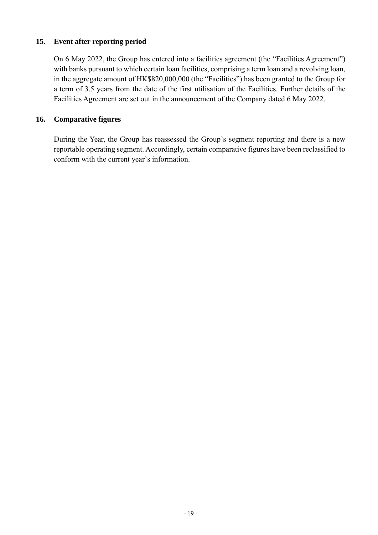### **15. Event after reporting period**

On 6 May 2022, the Group has entered into a facilities agreement (the "Facilities Agreement") with banks pursuant to which certain loan facilities, comprising a term loan and a revolving loan, in the aggregate amount of HK\$820,000,000 (the "Facilities") has been granted to the Group for a term of 3.5 years from the date of the first utilisation of the Facilities. Further details of the Facilities Agreement are set out in the announcement of the Company dated 6 May 2022.

### **16. Comparative figures**

During the Year, the Group has reassessed the Group's segment reporting and there is a new reportable operating segment. Accordingly, certain comparative figures have been reclassified to conform with the current year's information.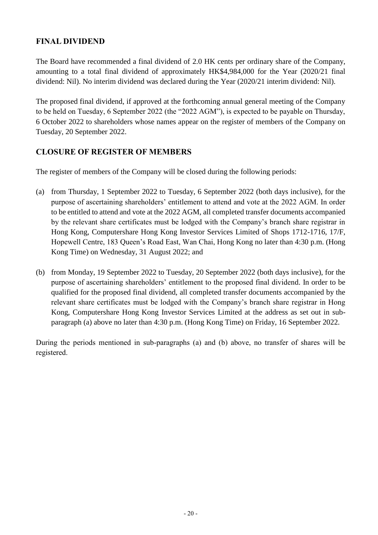# **FINAL DIVIDEND**

The Board have recommended a final dividend of 2.0 HK cents per ordinary share of the Company, amounting to a total final dividend of approximately HK\$4,984,000 for the Year (2020/21 final dividend: Nil). No interim dividend was declared during the Year (2020/21 interim dividend: Nil).

The proposed final dividend, if approved at the forthcoming annual general meeting of the Company to be held on Tuesday, 6 September 2022 (the "2022 AGM"), is expected to be payable on Thursday, 6 October 2022 to shareholders whose names appear on the register of members of the Company on Tuesday, 20 September 2022.

# **CLOSURE OF REGISTER OF MEMBERS**

The register of members of the Company will be closed during the following periods:

- (a) from Thursday, 1 September 2022 to Tuesday, 6 September 2022 (both days inclusive), for the purpose of ascertaining shareholders' entitlement to attend and vote at the 2022 AGM. In order to be entitled to attend and vote at the 2022 AGM, all completed transfer documents accompanied by the relevant share certificates must be lodged with the Company's branch share registrar in Hong Kong, Computershare Hong Kong Investor Services Limited of Shops 1712-1716, 17/F, Hopewell Centre, 183 Queen's Road East, Wan Chai, Hong Kong no later than 4:30 p.m. (Hong Kong Time) on Wednesday, 31 August 2022; and
- (b) from Monday, 19 September 2022 to Tuesday, 20 September 2022 (both days inclusive), for the purpose of ascertaining shareholders' entitlement to the proposed final dividend. In order to be qualified for the proposed final dividend, all completed transfer documents accompanied by the relevant share certificates must be lodged with the Company's branch share registrar in Hong Kong, Computershare Hong Kong Investor Services Limited at the address as set out in subparagraph (a) above no later than 4:30 p.m. (Hong Kong Time) on Friday, 16 September 2022.

During the periods mentioned in sub-paragraphs (a) and (b) above, no transfer of shares will be registered.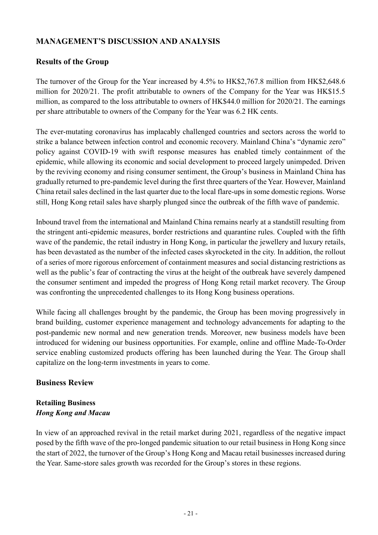# **MANAGEMENT'S DISCUSSION AND ANALYSIS**

## **Results of the Group**

The turnover of the Group for the Year increased by 4.5% to HK\$2,767.8 million from HK\$2,648.6 million for 2020/21. The profit attributable to owners of the Company for the Year was HK\$15.5 million, as compared to the loss attributable to owners of HK\$44.0 million for 2020/21. The earnings per share attributable to owners of the Company for the Year was 6.2 HK cents.

The ever-mutating coronavirus has implacably challenged countries and sectors across the world to strike a balance between infection control and economic recovery. Mainland China's "dynamic zero" policy against COVID-19 with swift response measures has enabled timely containment of the epidemic, while allowing its economic and social development to proceed largely unimpeded. Driven by the reviving economy and rising consumer sentiment, the Group's business in Mainland China has gradually returned to pre-pandemic level during the first three quarters of the Year. However, Mainland China retail sales declined in the last quarter due to the local flare-ups in some domestic regions. Worse still, Hong Kong retail sales have sharply plunged since the outbreak of the fifth wave of pandemic.

Inbound travel from the international and Mainland China remains nearly at a standstill resulting from the stringent anti-epidemic measures, border restrictions and quarantine rules. Coupled with the fifth wave of the pandemic, the retail industry in Hong Kong, in particular the jewellery and luxury retails, has been devastated as the number of the infected cases skyrocketed in the city. In addition, the rollout of a series of more rigorous enforcement of containment measures and social distancing restrictions as well as the public's fear of contracting the virus at the height of the outbreak have severely dampened the consumer sentiment and impeded the progress of Hong Kong retail market recovery. The Group was confronting the unprecedented challenges to its Hong Kong business operations.

While facing all challenges brought by the pandemic, the Group has been moving progressively in brand building, customer experience management and technology advancements for adapting to the post-pandemic new normal and new generation trends. Moreover, new business models have been introduced for widening our business opportunities. For example, online and offline Made-To-Order service enabling customized products offering has been launched during the Year. The Group shall capitalize on the long-term investments in years to come.

#### **Business Review**

### **Retailing Business** *Hong Kong and Macau*

In view of an approached revival in the retail market during 2021, regardless of the negative impact posed by the fifth wave of the pro-longed pandemic situation to our retail business in Hong Kong since the start of 2022, the turnover of the Group's Hong Kong and Macau retail businesses increased during the Year. Same-store sales growth was recorded for the Group's stores in these regions.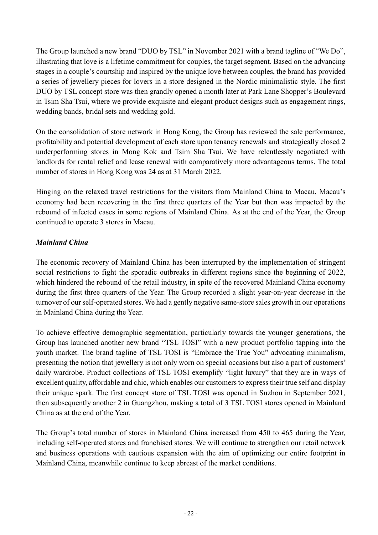The Group launched a new brand "DUO by TSL" in November 2021 with a brand tagline of "We Do", illustrating that love is a lifetime commitment for couples, the target segment. Based on the advancing stages in a couple's courtship and inspired by the unique love between couples, the brand has provided a series of jewellery pieces for lovers in a store designed in the Nordic minimalistic style. The first DUO by TSL concept store was then grandly opened a month later at Park Lane Shopper's Boulevard in Tsim Sha Tsui, where we provide exquisite and elegant product designs such as engagement rings, wedding bands, bridal sets and wedding gold.

On the consolidation of store network in Hong Kong, the Group has reviewed the sale performance, profitability and potential development of each store upon tenancy renewals and strategically closed 2 underperforming stores in Mong Kok and Tsim Sha Tsui. We have relentlessly negotiated with landlords for rental relief and lease renewal with comparatively more advantageous terms. The total number of stores in Hong Kong was 24 as at 31 March 2022.

Hinging on the relaxed travel restrictions for the visitors from Mainland China to Macau, Macau's economy had been recovering in the first three quarters of the Year but then was impacted by the rebound of infected cases in some regions of Mainland China. As at the end of the Year, the Group continued to operate 3 stores in Macau.

### *Mainland China*

The economic recovery of Mainland China has been interrupted by the implementation of stringent social restrictions to fight the sporadic outbreaks in different regions since the beginning of 2022, which hindered the rebound of the retail industry, in spite of the recovered Mainland China economy during the first three quarters of the Year. The Group recorded a slight year-on-year decrease in the turnover of our self-operated stores. We had a gently negative same-store sales growth in our operations in Mainland China during the Year.

To achieve effective demographic segmentation, particularly towards the younger generations, the Group has launched another new brand "TSL TOSI" with a new product portfolio tapping into the youth market. The brand tagline of TSL TOSI is "Embrace the True You" advocating minimalism, presenting the notion that jewellery is not only worn on special occasions but also a part of customers' daily wardrobe. Product collections of TSL TOSI exemplify "light luxury" that they are in ways of excellent quality, affordable and chic, which enables our customers to express their true self and display their unique spark. The first concept store of TSL TOSI was opened in Suzhou in September 2021, then subsequently another 2 in Guangzhou, making a total of 3 TSL TOSI stores opened in Mainland China as at the end of the Year.

The Group's total number of stores in Mainland China increased from 450 to 465 during the Year, including self-operated stores and franchised stores. We will continue to strengthen our retail network and business operations with cautious expansion with the aim of optimizing our entire footprint in Mainland China, meanwhile continue to keep abreast of the market conditions.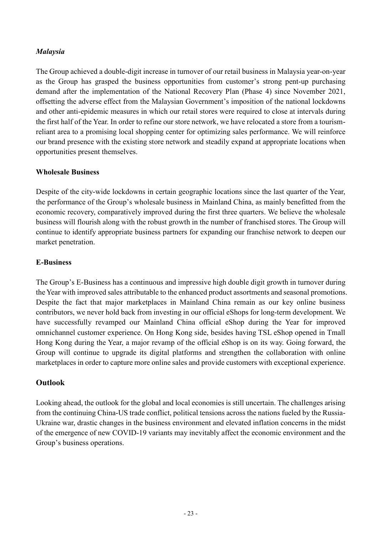### *Malaysia*

The Group achieved a double-digit increase in turnover of our retail business in Malaysia year-on-year as the Group has grasped the business opportunities from customer's strong pent-up purchasing demand after the implementation of the National Recovery Plan (Phase 4) since November 2021, offsetting the adverse effect from the Malaysian Government's imposition of the national lockdowns and other anti-epidemic measures in which our retail stores were required to close at intervals during the first half of the Year. In order to refine our store network, we have relocated a store from a tourismreliant area to a promising local shopping center for optimizing sales performance. We will reinforce our brand presence with the existing store network and steadily expand at appropriate locations when opportunities present themselves.

#### **Wholesale Business**

Despite of the city-wide lockdowns in certain geographic locations since the last quarter of the Year, the performance of the Group's wholesale business in Mainland China, as mainly benefitted from the economic recovery, comparatively improved during the first three quarters. We believe the wholesale business will flourish along with the robust growth in the number of franchised stores. The Group will continue to identify appropriate business partners for expanding our franchise network to deepen our market penetration.

#### **E-Business**

The Group's E-Business has a continuous and impressive high double digit growth in turnover during the Year with improved sales attributable to the enhanced product assortments and seasonal promotions. Despite the fact that major marketplaces in Mainland China remain as our key online business contributors, we never hold back from investing in our official eShops for long-term development. We have successfully revamped our Mainland China official eShop during the Year for improved omnichannel customer experience. On Hong Kong side, besides having TSL eShop opened in Tmall Hong Kong during the Year, a major revamp of the official eShop is on its way. Going forward, the Group will continue to upgrade its digital platforms and strengthen the collaboration with online marketplaces in order to capture more online sales and provide customers with exceptional experience.

#### **Outlook**

Looking ahead, the outlook for the global and local economies is still uncertain. The challenges arising from the continuing China-US trade conflict, political tensions across the nations fueled by the Russia-Ukraine war, drastic changes in the business environment and elevated inflation concerns in the midst of the emergence of new COVID-19 variants may inevitably affect the economic environment and the Group's business operations.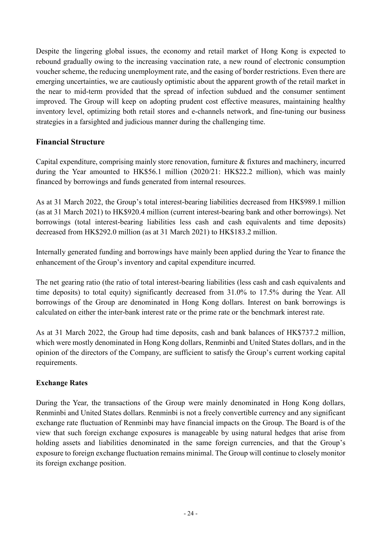Despite the lingering global issues, the economy and retail market of Hong Kong is expected to rebound gradually owing to the increasing vaccination rate, a new round of electronic consumption voucher scheme, the reducing unemployment rate, and the easing of border restrictions. Even there are emerging uncertainties, we are cautiously optimistic about the apparent growth of the retail market in the near to mid-term provided that the spread of infection subdued and the consumer sentiment improved. The Group will keep on adopting prudent cost effective measures, maintaining healthy inventory level, optimizing both retail stores and e-channels network, and fine-tuning our business strategies in a farsighted and judicious manner during the challenging time.

### **Financial Structure**

Capital expenditure, comprising mainly store renovation, furniture & fixtures and machinery, incurred during the Year amounted to HK\$56.1 million (2020/21: HK\$22.2 million), which was mainly financed by borrowings and funds generated from internal resources.

As at 31 March 2022, the Group's total interest-bearing liabilities decreased from HK\$989.1 million (as at 31 March 2021) to HK\$920.4 million (current interest-bearing bank and other borrowings). Net borrowings (total interest-bearing liabilities less cash and cash equivalents and time deposits) decreased from HK\$292.0 million (as at 31 March 2021) to HK\$183.2 million.

Internally generated funding and borrowings have mainly been applied during the Year to finance the enhancement of the Group's inventory and capital expenditure incurred.

The net gearing ratio (the ratio of total interest-bearing liabilities (less cash and cash equivalents and time deposits) to total equity) significantly decreased from 31.0% to 17.5% during the Year. All borrowings of the Group are denominated in Hong Kong dollars. Interest on bank borrowings is calculated on either the inter-bank interest rate or the prime rate or the benchmark interest rate.

As at 31 March 2022, the Group had time deposits, cash and bank balances of HK\$737.2 million, which were mostly denominated in Hong Kong dollars, Renminbi and United States dollars, and in the opinion of the directors of the Company, are sufficient to satisfy the Group's current working capital requirements.

#### **Exchange Rates**

During the Year, the transactions of the Group were mainly denominated in Hong Kong dollars, Renminbi and United States dollars. Renminbi is not a freely convertible currency and any significant exchange rate fluctuation of Renminbi may have financial impacts on the Group. The Board is of the view that such foreign exchange exposures is manageable by using natural hedges that arise from holding assets and liabilities denominated in the same foreign currencies, and that the Group's exposure to foreign exchange fluctuation remains minimal. The Group will continue to closely monitor its foreign exchange position.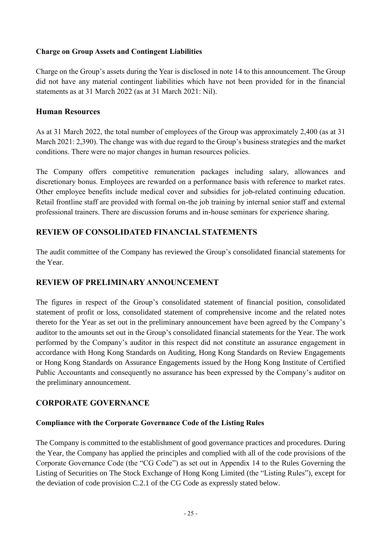### **Charge on Group Assets and Contingent Liabilities**

Charge on the Group's assets during the Year is disclosed in note 14 to this announcement. The Group did not have any material contingent liabilities which have not been provided for in the financial statements as at 31 March 2022 (as at 31 March 2021: Nil).

### **Human Resources**

As at 31 March 2022, the total number of employees of the Group was approximately 2,400 (as at 31 March 2021: 2,390). The change was with due regard to the Group's business strategies and the market conditions. There were no major changes in human resources policies.

The Company offers competitive remuneration packages including salary, allowances and discretionary bonus. Employees are rewarded on a performance basis with reference to market rates. Other employee benefits include medical cover and subsidies for job-related continuing education. Retail frontline staff are provided with formal on-the job training by internal senior staff and external professional trainers. There are discussion forums and in-house seminars for experience sharing.

## **REVIEW OF CONSOLIDATED FINANCIAL STATEMENTS**

The audit committee of the Company has reviewed the Group's consolidated financial statements for the Year.

### **REVIEW OF PRELIMINARY ANNOUNCEMENT**

The figures in respect of the Group's consolidated statement of financial position, consolidated statement of profit or loss, consolidated statement of comprehensive income and the related notes thereto for the Year as set out in the preliminary announcement have been agreed by the Company's auditor to the amounts set out in the Group's consolidated financial statements for the Year. The work performed by the Company's auditor in this respect did not constitute an assurance engagement in accordance with Hong Kong Standards on Auditing, Hong Kong Standards on Review Engagements or Hong Kong Standards on Assurance Engagements issued by the Hong Kong Institute of Certified Public Accountants and consequently no assurance has been expressed by the Company's auditor on the preliminary announcement.

### **CORPORATE GOVERNANCE**

### **Compliance with the Corporate Governance Code of the Listing Rules**

The Company is committed to the establishment of good governance practices and procedures. During the Year, the Company has applied the principles and complied with all of the code provisions of the Corporate Governance Code (the "CG Code") as set out in Appendix 14 to the Rules Governing the Listing of Securities on The Stock Exchange of Hong Kong Limited (the "Listing Rules"), except for the deviation of code provision C.2.1 of the CG Code as expressly stated below.